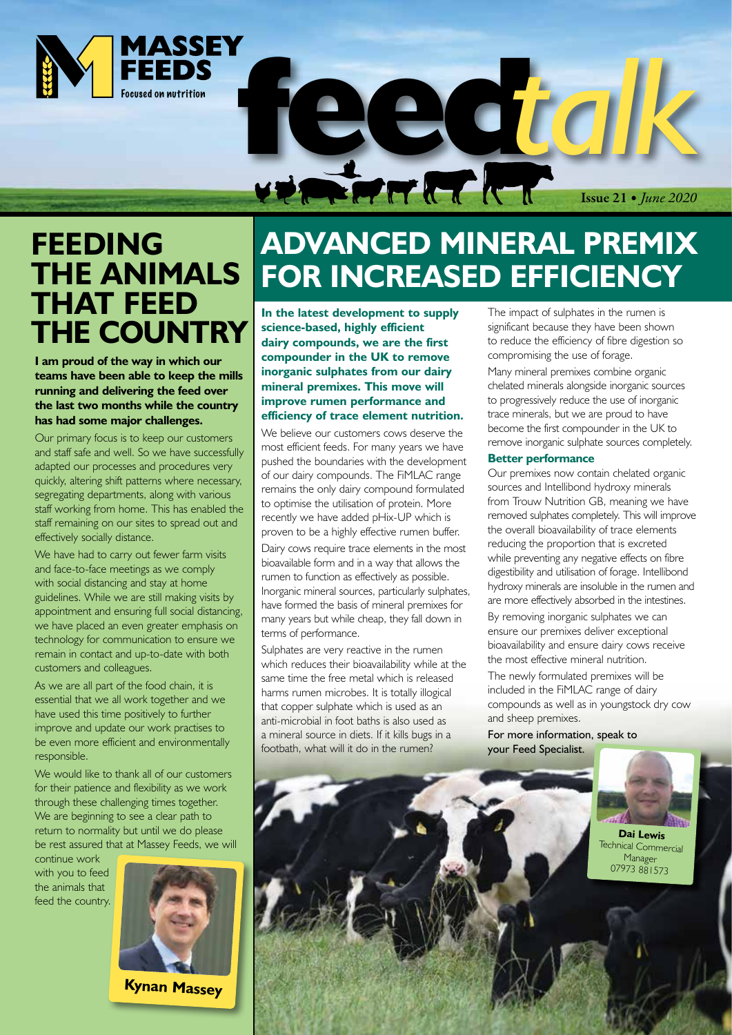

## **FEEDING THE ANIMALS THAT FEED THE COUNTRY**

**I am proud of the way in which our teams have been able to keep the mills running and delivering the feed over the last two months while the country has had some major challenges.**

Our primary focus is to keep our customers and staff safe and well. So we have successfully adapted our processes and procedures very quickly, altering shift patterns where necessary, segregating departments, along with various staff working from home. This has enabled the staff remaining on our sites to spread out and effectively socially distance.

We have had to carry out fewer farm visits and face-to-face meetings as we comply with social distancing and stay at home guidelines. While we are still making visits by appointment and ensuring full social distancing, we have placed an even greater emphasis on technology for communication to ensure we remain in contact and up-to-date with both customers and colleagues.

As we are all part of the food chain, it is essential that we all work together and we have used this time positively to further improve and update our work practises to be even more efficient and environmentally responsible.

We would like to thank all of our customers for their patience and flexibility as we work through these challenging times together. We are beginning to see a clear path to return to normality but until we do please be rest assured that at Massey Feeds, we will

continue work with you to feed the animals that feed the country.



**Kynan Massey**

# **ADVANCED MINERAL PREMIX FOR INCREASED EFFICIENCY**

**In the latest development to supply science-based, highly efficient dairy compounds, we are the first compounder in the UK to remove inorganic sulphates from our dairy mineral premixes. This move will improve rumen performance and efficiency of trace element nutrition.**

We believe our customers cows deserve the most efficient feeds. For many years we have pushed the boundaries with the development of our dairy compounds. The FiMLAC range remains the only dairy compound formulated to optimise the utilisation of protein. More recently we have added pHix-UP which is proven to be a highly effective rumen buffer.

Dairy cows require trace elements in the most bioavailable form and in a way that allows the rumen to function as effectively as possible. Inorganic mineral sources, particularly sulphates, have formed the basis of mineral premixes for many years but while cheap, they fall down in terms of performance.

Sulphates are very reactive in the rumen which reduces their bioavailability while at the same time the free metal which is released harms rumen microbes. It is totally illogical that copper sulphate which is used as an anti-microbial in foot baths is also used as a mineral source in diets. If it kills bugs in a footbath, what will it do in the rumen?

The impact of sulphates in the rumen is significant because they have been shown to reduce the efficiency of fibre digestion so compromising the use of forage.

Issue 21 *• June 2020*

Many mineral premixes combine organic chelated minerals alongside inorganic sources to progressively reduce the use of inorganic trace minerals, but we are proud to have become the first compounder in the UK to remove inorganic sulphate sources completely.

### **Better performance**

Our premixes now contain chelated organic sources and Intellibond hydroxy minerals from Trouw Nutrition GB, meaning we have removed sulphates completely. This will improve the overall bioavailability of trace elements reducing the proportion that is excreted while preventing any negative effects on fibre digestibility and utilisation of forage. Intellibond hydroxy minerals are insoluble in the rumen and are more effectively absorbed in the intestines. By removing inorganic sulphates we can ensure our premixes deliver exceptional bioavailability and ensure dairy cows receive the most effective mineral nutrition.

The newly formulated premixes will be included in the FiMLAC range of dairy compounds as well as in youngstock dry cow and sheep premixes.

For more information, speak to your Feed Specialist.



Technical Commercial Manager 07973 881573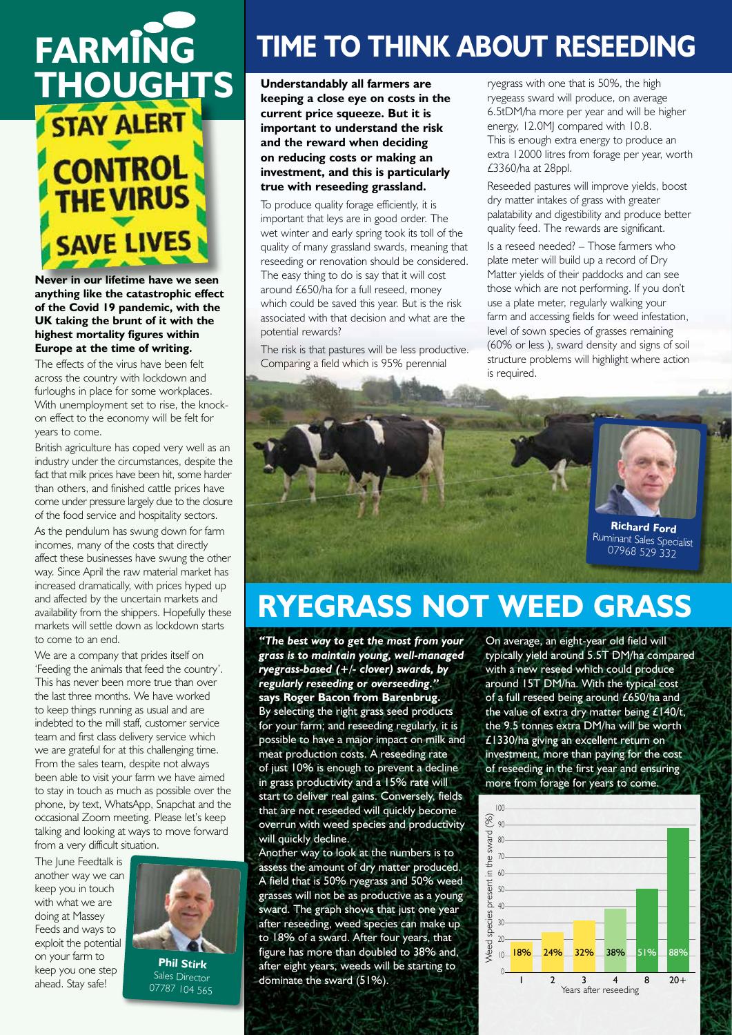

**Never in our lifetime have we seen anything like the catastrophic effect of the Covid 19 pandemic, with the UK taking the brunt of it with the highest mortality figures within Europe at the time of writing.** 

The effects of the virus have been felt across the country with lockdown and furloughs in place for some workplaces. With unemployment set to rise, the knockon effect to the economy will be felt for years to come.

British agriculture has coped very well as an industry under the circumstances, despite the fact that milk prices have been hit, some harder than others, and finished cattle prices have come under pressure largely due to the closure of the food service and hospitality sectors.

As the pendulum has swung down for farm incomes, many of the costs that directly affect these businesses have swung the other way. Since April the raw material market has increased dramatically, with prices hyped up and affected by the uncertain markets and availability from the shippers. Hopefully these markets will settle down as lockdown starts to come to an end.

We are a company that prides itself on 'Feeding the animals that feed the country'. This has never been more true than over the last three months. We have worked to keep things running as usual and are indebted to the mill staff, customer service team and first class delivery service which we are grateful for at this challenging time. From the sales team, despite not always been able to visit your farm we have aimed to stay in touch as much as possible over the phone, by text, WhatsApp, Snapchat and the occasional Zoom meeting. Please let's keep talking and looking at ways to move forward from a very difficult situation.

The June Feedtalk is another way we can keep you in touch with what we are doing at Massey Feeds and ways to exploit the potential on your farm to keep you one step ahead. Stay safe!



## **TIME TO THINK ABOUT RESEEDING**

**keeping a close eye on costs in the current price squeeze. But it is important to understand the risk and the reward when deciding on reducing costs or making an investment, and this is particularly true with reseeding grassland.**

To produce quality forage efficiently, it is important that leys are in good order. The wet winter and early spring took its toll of the quality of many grassland swards, meaning that reseeding or renovation should be considered. The easy thing to do is say that it will cost around £650/ha for a full reseed, money which could be saved this year. But is the risk associated with that decision and what are the potential rewards?

The risk is that pastures will be less productive. Comparing a field which is 95% perennial

ryegrass with one that is 50%, the high ryegeass sward will produce, on average 6.5tDM/ha more per year and will be higher energy, 12.0MJ compared with 10.8. This is enough extra energy to produce an extra 12000 litres from forage per year, worth £3360/ha at 28ppl.

Reseeded pastures will improve yields, boost dry matter intakes of grass with greater palatability and digestibility and produce better quality feed. The rewards are significant.

Is a reseed needed? – Those farmers who plate meter will build up a record of Dry Matter yields of their paddocks and can see those which are not performing. If you don't use a plate meter, regularly walking your farm and accessing fields for weed infestation, level of sown species of grasses remaining (60% or less ), sward density and signs of soil structure problems will highlight where action is required.



## **RYEGRASS NOT WEED GRASS**

*"The best way to get the most from your grass is to maintain young, well-managed ryegrass-based (+/- clover) swards, by regularly reseeding or overseeding."* **says Roger Bacon from Barenbrug.**

By selecting the right grass seed products for your farm; and reseeding regularly, it is possible to have a major impact on milk and meat production costs. A reseeding rate of just 10% is enough to prevent a decline in grass productivity and a 15% rate will start to deliver real gains. Conversely, fields that are not reseeded will quickly become overrun with weed species and productivity will quickly decline.

Another way to look at the numbers is to assess the amount of dry matter produced. A field that is 50% ryegrass and 50% weed grasses will not be as productive as a young sward. The graph shows that just one year after reseeding, weed species can make up to 18% of a sward. After four years, that figure has more than doubled to 38% and, after eight years, weeds will be starting to dominate the sward (51%).

On average, an eight-year old field will typically yield around 5.5T DM/ha compared with a new reseed which could produce around 15T DM/ha. With the typical cost of a full reseed being around £650/ha and the value of extra dry matter being  $£140/t$ , the 9.5 tonnes extra DM/ha will be worth £1330/ha giving an excellent return on investment, more than paying for the cost of reseeding in the first year and ensuring more from forage for years to come.

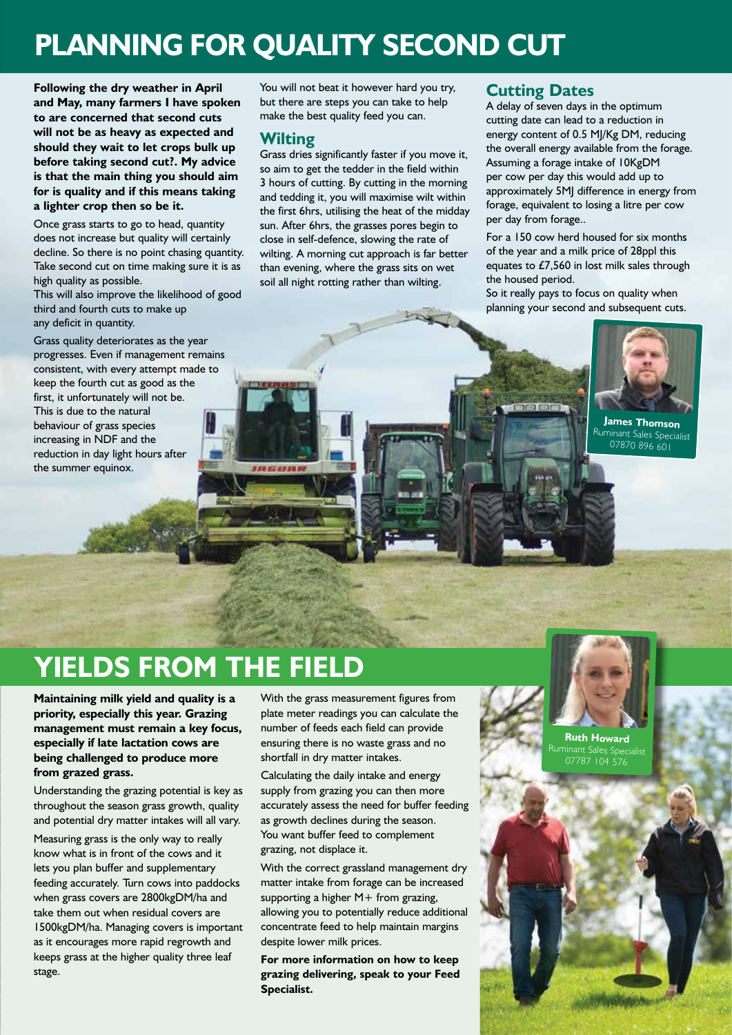## **PLANNING FOR QUALITY SECOND CUT**

**Following the dry weather in April and May, many farmers I have spoken to are concerned that second cuts will not be as heavy as expected and should they wait to let crops bulk up before taking second cut?. My advice is that the main thing you should aim for is quality and if this means taking a lighter crop then so be it.**

Once grass starts to go to head, quantity does not increase but quality will certainly decline. So there is no point chasing quantity. Take second cut on time making sure it is as high quality as possible.

This will also improve the likelihood of good third and fourth cuts to make up any deficit in quantity.

Grass quality deteriorates as the year progresses. Even if management remains consistent, with every attempt made to keep the fourth cut as good as the first, it unfortunately will not be. This is due to the natural behaviour of grass species increasing in NDF and the reduction in day light hours after the summer equinox.

You will not beat it however hard you try, but there are steps you can take to help make the best quality feed you can.

### **Wilting**

Grass dries significantly faster if you move it, so aim to get the tedder in the field within 3 hours of cutting. By cutting in the morning and tedding it, you will maximise wilt within the first 6hrs, utilising the heat of the midday sun. After 6hrs, the grasses pores begin to close in self-defence, slowing the rate of wilting. A morning cut approach is far better than evening, where the grass sits on wet soil all night rotting rather than wilting.

### **Cutting Dates**

A delay of seven days in the optimum cutting date can lead to a reduction in energy content of 0.5 MJ/Kg DM, reducing the overall energy available from the forage. Assuming a forage intake of 10KgDM per cow per day this would add up to approximately 5MJ difference in energy from forage, equivalent to losing a litre per cow per day from forage..

For a 150 cow herd housed for six months of the year and a milk price of 28ppl this equates to £7,560 in lost milk sales through the housed period.

So it really pays to focus on quality when planning your second and subsequent cuts.



**James Thomson** Ruminant Sales Specialist 07870 896 601

## **YIELDS FROM THE FIELD**

**Maintaining milk yield and quality is a priority, especially this year. Grazing management must remain a key focus, especially if late lactation cows are being challenged to produce more from grazed grass.**

Understanding the grazing potential is key as throughout the season grass growth, quality and potential dry matter intakes will all vary.

Measuring grass is the only way to really know what is in front of the cows and it lets you plan buffer and supplementary feeding accurately. Turn cows into paddocks when grass covers are 2800kgDM/ha and take them out when residual covers are 1500kgDM/ha. Managing covers is important as it encourages more rapid regrowth and keeps grass at the higher quality three leaf stage.

With the grass measurement figures from plate meter readings you can calculate the number of feeds each field can provide ensuring there is no waste grass and no shortfall in dry matter intakes.

Calculating the daily intake and energy supply from grazing you can then more accurately assess the need for buffer feeding as growth declines during the season. You want buffer feed to complement grazing, not displace it.

With the correct grassland management dry matter intake from forage can be increased supporting a higher M+ from grazing, allowing you to potentially reduce additional concentrate feed to help maintain margins despite lower milk prices.

**For more information on how to keep grazing delivering, speak to your Feed Specialist.**